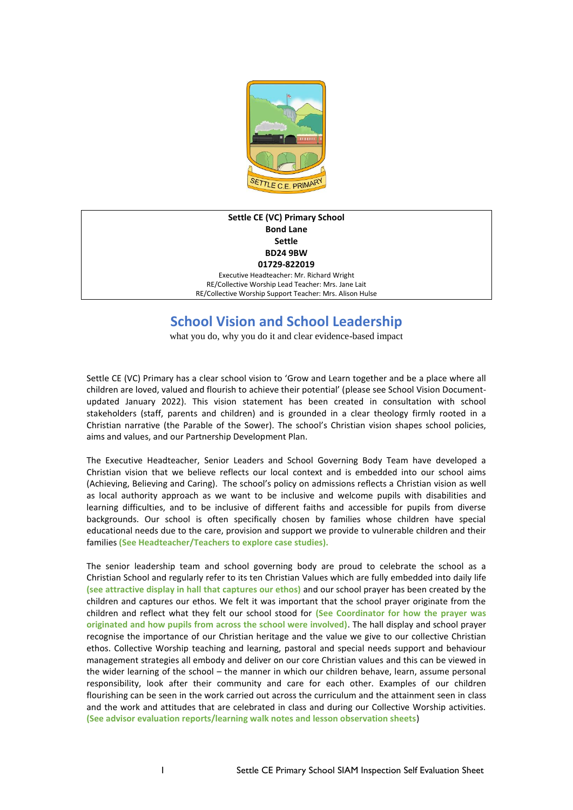

## **Settle CE (VC) Primary School Bond Lane Settle BD24 9BW 01729-822019**

Executive Headteacher: Mr. Richard Wright RE/Collective Worship Lead Teacher: Mrs. Jane Lait RE/Collective Worship Support Teacher: Mrs. Alison Hulse

# **School Vision and School Leadership**

what you do, why you do it and clear evidence-based impact

Settle CE (VC) Primary has a clear school vision to 'Grow and Learn together and be a place where all children are loved, valued and flourish to achieve their potential' (please see School Vision Documentupdated January 2022). This vision statement has been created in consultation with school stakeholders (staff, parents and children) and is grounded in a clear theology firmly rooted in a Christian narrative (the Parable of the Sower). The school's Christian vision shapes school policies, aims and values, and our Partnership Development Plan.

The Executive Headteacher, Senior Leaders and School Governing Body Team have developed a Christian vision that we believe reflects our local context and is embedded into our school aims (Achieving, Believing and Caring). The school's policy on admissions reflects a Christian vision as well as local authority approach as we want to be inclusive and welcome pupils with disabilities and learning difficulties, and to be inclusive of different faiths and accessible for pupils from diverse backgrounds. Our school is often specifically chosen by families whose children have special educational needs due to the care, provision and support we provide to vulnerable children and their families **(See Headteacher/Teachers to explore case studies).**

The senior leadership team and school governing body are proud to celebrate the school as a Christian School and regularly refer to its ten Christian Values which are fully embedded into daily life **(see attractive display in hall that captures our ethos)** and our school prayer has been created by the children and captures our ethos. We felt it was important that the school prayer originate from the children and reflect what they felt our school stood for **(See Coordinator for how the prayer was originated and how pupils from across the school were involved)**. The hall display and school prayer recognise the importance of our Christian heritage and the value we give to our collective Christian ethos. Collective Worship teaching and learning, pastoral and special needs support and behaviour management strategies all embody and deliver on our core Christian values and this can be viewed in the wider learning of the school – the manner in which our children behave, learn, assume personal responsibility, look after their community and care for each other. Examples of our children flourishing can be seen in the work carried out across the curriculum and the attainment seen in class and the work and attitudes that are celebrated in class and during our Collective Worship activities. **(See advisor evaluation reports/learning walk notes and lesson observation sheets**)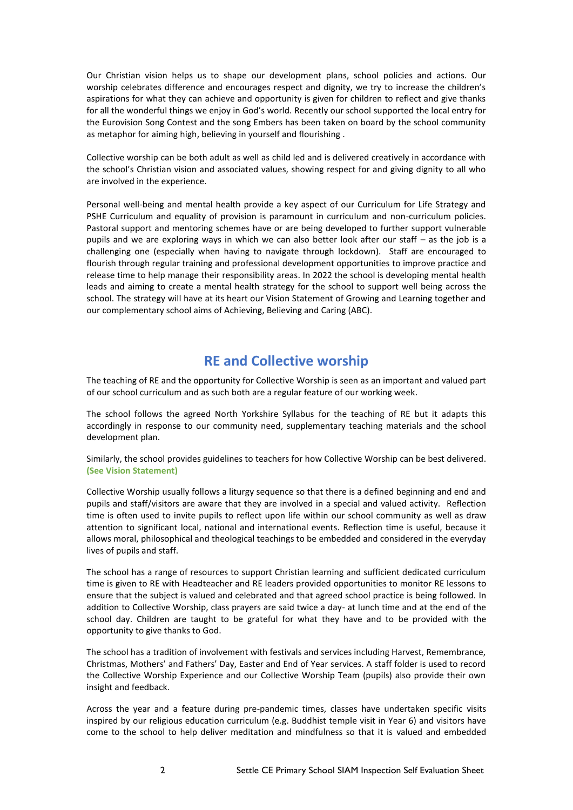Our Christian vision helps us to shape our development plans, school policies and actions. Our worship celebrates difference and encourages respect and dignity, we try to increase the children's aspirations for what they can achieve and opportunity is given for children to reflect and give thanks for all the wonderful things we enjoy in God's world. Recently our school supported the local entry for the Eurovision Song Contest and the song Embers has been taken on board by the school community as metaphor for aiming high, believing in yourself and flourishing .

Collective worship can be both adult as well as child led and is delivered creatively in accordance with the school's Christian vision and associated values, showing respect for and giving dignity to all who are involved in the experience.

Personal well-being and mental health provide a key aspect of our Curriculum for Life Strategy and PSHE Curriculum and equality of provision is paramount in curriculum and non-curriculum policies. Pastoral support and mentoring schemes have or are being developed to further support vulnerable pupils and we are exploring ways in which we can also better look after our staff – as the job is a challenging one (especially when having to navigate through lockdown). Staff are encouraged to flourish through regular training and professional development opportunities to improve practice and release time to help manage their responsibility areas. In 2022 the school is developing mental health leads and aiming to create a mental health strategy for the school to support well being across the school. The strategy will have at its heart our Vision Statement of Growing and Learning together and our complementary school aims of Achieving, Believing and Caring (ABC).

# **RE and Collective worship**

The teaching of RE and the opportunity for Collective Worship is seen as an important and valued part of our school curriculum and as such both are a regular feature of our working week.

The school follows the agreed North Yorkshire Syllabus for the teaching of RE but it adapts this accordingly in response to our community need, supplementary teaching materials and the school development plan.

Similarly, the school provides guidelines to teachers for how Collective Worship can be best delivered. **(See Vision Statement)**

Collective Worship usually follows a liturgy sequence so that there is a defined beginning and end and pupils and staff/visitors are aware that they are involved in a special and valued activity. Reflection time is often used to invite pupils to reflect upon life within our school community as well as draw attention to significant local, national and international events. Reflection time is useful, because it allows moral, philosophical and theological teachings to be embedded and considered in the everyday lives of pupils and staff.

The school has a range of resources to support Christian learning and sufficient dedicated curriculum time is given to RE with Headteacher and RE leaders provided opportunities to monitor RE lessons to ensure that the subject is valued and celebrated and that agreed school practice is being followed. In addition to Collective Worship, class prayers are said twice a day- at lunch time and at the end of the school day. Children are taught to be grateful for what they have and to be provided with the opportunity to give thanks to God.

The school has a tradition of involvement with festivals and services including Harvest, Remembrance, Christmas, Mothers' and Fathers' Day, Easter and End of Year services. A staff folder is used to record the Collective Worship Experience and our Collective Worship Team (pupils) also provide their own insight and feedback.

Across the year and a feature during pre-pandemic times, classes have undertaken specific visits inspired by our religious education curriculum (e.g. Buddhist temple visit in Year 6) and visitors have come to the school to help deliver meditation and mindfulness so that it is valued and embedded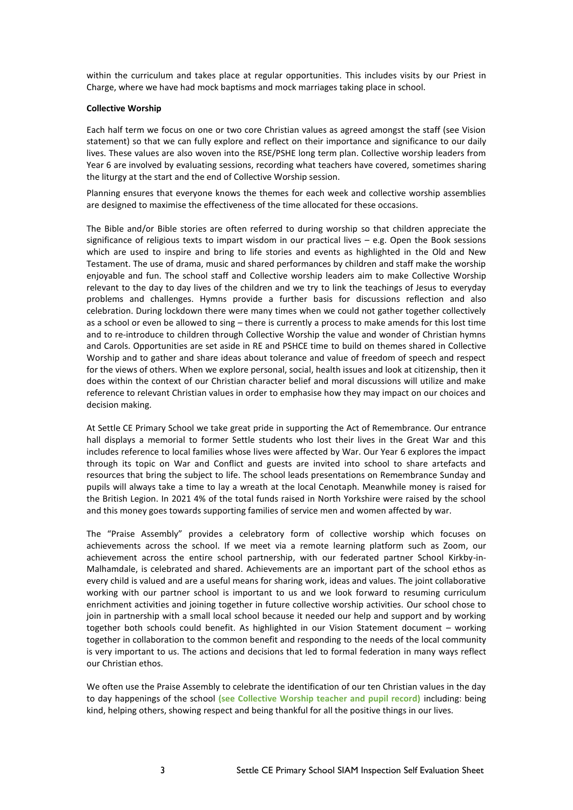within the curriculum and takes place at regular opportunities. This includes visits by our Priest in Charge, where we have had mock baptisms and mock marriages taking place in school.

## **Collective Worship**

Each half term we focus on one or two core Christian values as agreed amongst the staff (see Vision statement) so that we can fully explore and reflect on their importance and significance to our daily lives. These values are also woven into the RSE/PSHE long term plan. Collective worship leaders from Year 6 are involved by evaluating sessions, recording what teachers have covered, sometimes sharing the liturgy at the start and the end of Collective Worship session.

Planning ensures that everyone knows the themes for each week and collective worship assemblies are designed to maximise the effectiveness of the time allocated for these occasions.

The Bible and/or Bible stories are often referred to during worship so that children appreciate the significance of religious texts to impart wisdom in our practical lives – e.g. Open the Book sessions which are used to inspire and bring to life stories and events as highlighted in the Old and New Testament. The use of drama, music and shared performances by children and staff make the worship enjoyable and fun. The school staff and Collective worship leaders aim to make Collective Worship relevant to the day to day lives of the children and we try to link the teachings of Jesus to everyday problems and challenges. Hymns provide a further basis for discussions reflection and also celebration. During lockdown there were many times when we could not gather together collectively as a school or even be allowed to sing – there is currently a process to make amends for this lost time and to re-introduce to children through Collective Worship the value and wonder of Christian hymns and Carols. Opportunities are set aside in RE and PSHCE time to build on themes shared in Collective Worship and to gather and share ideas about tolerance and value of freedom of speech and respect for the views of others. When we explore personal, social, health issues and look at citizenship, then it does within the context of our Christian character belief and moral discussions will utilize and make reference to relevant Christian values in order to emphasise how they may impact on our choices and decision making.

At Settle CE Primary School we take great pride in supporting the Act of Remembrance. Our entrance hall displays a memorial to former Settle students who lost their lives in the Great War and this includes reference to local families whose lives were affected by War. Our Year 6 explores the impact through its topic on War and Conflict and guests are invited into school to share artefacts and resources that bring the subject to life. The school leads presentations on Remembrance Sunday and pupils will always take a time to lay a wreath at the local Cenotaph. Meanwhile money is raised for the British Legion. In 2021 4% of the total funds raised in North Yorkshire were raised by the school and this money goes towards supporting families of service men and women affected by war.

The "Praise Assembly" provides a celebratory form of collective worship which focuses on achievements across the school. If we meet via a remote learning platform such as Zoom, our achievement across the entire school partnership, with our federated partner School Kirkby-in-Malhamdale, is celebrated and shared. Achievements are an important part of the school ethos as every child is valued and are a useful means for sharing work, ideas and values. The joint collaborative working with our partner school is important to us and we look forward to resuming curriculum enrichment activities and joining together in future collective worship activities. Our school chose to join in partnership with a small local school because it needed our help and support and by working together both schools could benefit. As highlighted in our Vision Statement document – working together in collaboration to the common benefit and responding to the needs of the local community is very important to us. The actions and decisions that led to formal federation in many ways reflect our Christian ethos.

We often use the Praise Assembly to celebrate the identification of our ten Christian values in the day to day happenings of the school **(see Collective Worship teacher and pupil record)** including: being kind, helping others, showing respect and being thankful for all the positive things in our lives.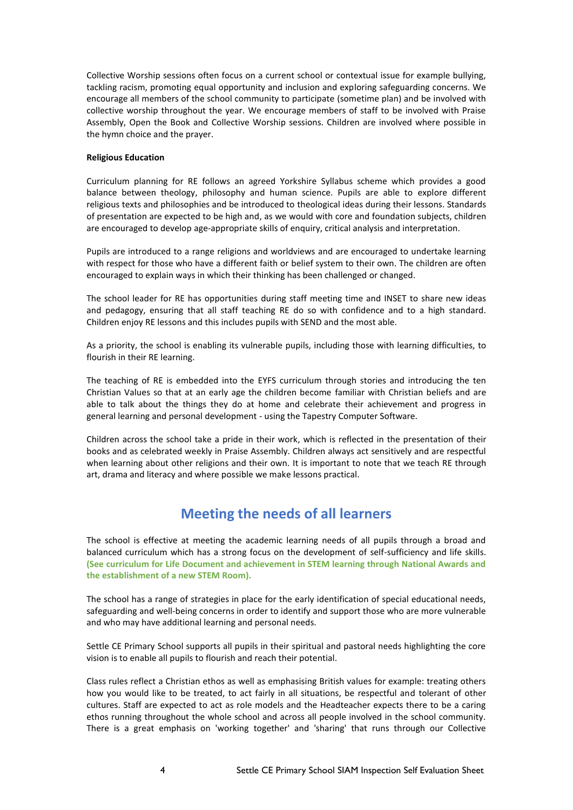Collective Worship sessions often focus on a current school or contextual issue for example bullying, tackling racism, promoting equal opportunity and inclusion and exploring safeguarding concerns. We encourage all members of the school community to participate (sometime plan) and be involved with collective worship throughout the year. We encourage members of staff to be involved with Praise Assembly, Open the Book and Collective Worship sessions. Children are involved where possible in the hymn choice and the prayer.

### **Religious Education**

Curriculum planning for RE follows an agreed Yorkshire Syllabus scheme which provides a good balance between theology, philosophy and human science. Pupils are able to explore different religious texts and philosophies and be introduced to theological ideas during their lessons. Standards of presentation are expected to be high and, as we would with core and foundation subjects, children are encouraged to develop age-appropriate skills of enquiry, critical analysis and interpretation.

Pupils are introduced to a range religions and worldviews and are encouraged to undertake learning with respect for those who have a different faith or belief system to their own. The children are often encouraged to explain ways in which their thinking has been challenged or changed.

The school leader for RE has opportunities during staff meeting time and INSET to share new ideas and pedagogy, ensuring that all staff teaching RE do so with confidence and to a high standard. Children enjoy RE lessons and this includes pupils with SEND and the most able.

As a priority, the school is enabling its vulnerable pupils, including those with learning difficulties, to flourish in their RE learning.

The teaching of RE is embedded into the EYFS curriculum through stories and introducing the ten Christian Values so that at an early age the children become familiar with Christian beliefs and are able to talk about the things they do at home and celebrate their achievement and progress in general learning and personal development - using the Tapestry Computer Software.

Children across the school take a pride in their work, which is reflected in the presentation of their books and as celebrated weekly in Praise Assembly. Children always act sensitively and are respectful when learning about other religions and their own. It is important to note that we teach RE through art, drama and literacy and where possible we make lessons practical.

# **Meeting the needs of all learners**

The school is effective at meeting the academic learning needs of all pupils through a broad and balanced curriculum which has a strong focus on the development of self-sufficiency and life skills. **(See curriculum for Life Document and achievement in STEM learning through National Awards and the establishment of a new STEM Room).**

The school has a range of strategies in place for the early identification of special educational needs, safeguarding and well-being concerns in order to identify and support those who are more vulnerable and who may have additional learning and personal needs.

Settle CE Primary School supports all pupils in their spiritual and pastoral needs highlighting the core vision is to enable all pupils to flourish and reach their potential.

Class rules reflect a Christian ethos as well as emphasising British values for example: treating others how you would like to be treated, to act fairly in all situations, be respectful and tolerant of other cultures. Staff are expected to act as role models and the Headteacher expects there to be a caring ethos running throughout the whole school and across all people involved in the school community. There is a great emphasis on 'working together' and 'sharing' that runs through our Collective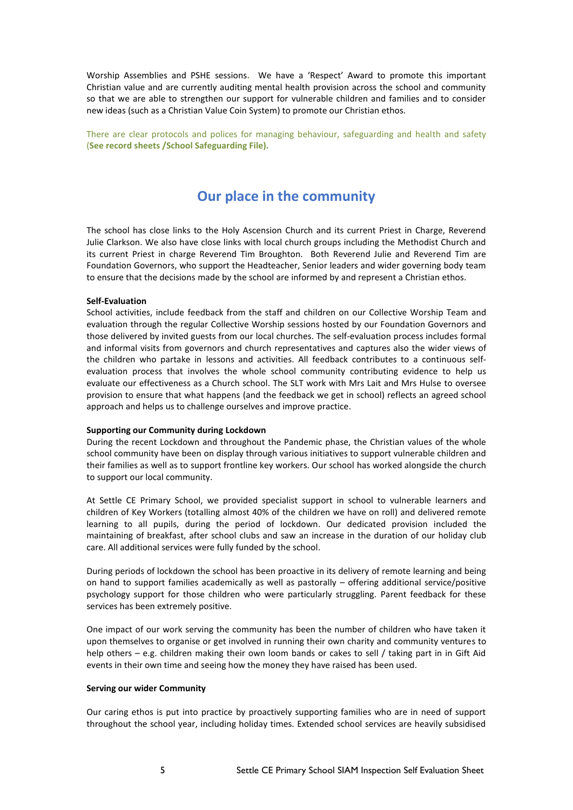Worship Assemblies and PSHE sessions**.** We have a 'Respect' Award to promote this important Christian value and are currently auditing mental health provision across the school and community so that we are able to strengthen our support for vulnerable children and families and to consider new ideas (such as a Christian Value Coin System) to promote our Christian ethos.

There are clear protocols and polices for managing behaviour, safeguarding and health and safety (**See record sheets /School Safeguarding File).**

# **Our place in the community**

The school has close links to the Holy Ascension Church and its current Priest in Charge, Reverend Julie Clarkson. We also have close links with local church groups including the Methodist Church and its current Priest in charge Reverend Tim Broughton. Both Reverend Julie and Reverend Tim are Foundation Governors, who support the Headteacher, Senior leaders and wider governing body team to ensure that the decisions made by the school are informed by and represent a Christian ethos.

#### **Self-Evaluation**

School activities, include feedback from the staff and children on our Collective Worship Team and evaluation through the regular Collective Worship sessions hosted by our Foundation Governors and those delivered by invited guests from our local churches. The self-evaluation process includes formal and informal visits from governors and church representatives and captures also the wider views of the children who partake in lessons and activities. All feedback contributes to a continuous selfevaluation process that involves the whole school community contributing evidence to help us evaluate our effectiveness as a Church school. The SLT work with Mrs Lait and Mrs Hulse to oversee provision to ensure that what happens (and the feedback we get in school) reflects an agreed school approach and helps us to challenge ourselves and improve practice.

#### **Supporting our Community during Lockdown**

During the recent Lockdown and throughout the Pandemic phase, the Christian values of the whole school community have been on display through various initiatives to support vulnerable children and their families as well as to support frontline key workers. Our school has worked alongside the church to support our local community.

At Settle CE Primary School, we provided specialist support in school to vulnerable learners and children of Key Workers (totalling almost 40% of the children we have on roll) and delivered remote learning to all pupils, during the period of lockdown. Our dedicated provision included the maintaining of breakfast, after school clubs and saw an increase in the duration of our holiday club care. All additional services were fully funded by the school.

During periods of lockdown the school has been proactive in its delivery of remote learning and being on hand to support families academically as well as pastorally – offering additional service/positive psychology support for those children who were particularly struggling. Parent feedback for these services has been extremely positive.

One impact of our work serving the community has been the number of children who have taken it upon themselves to organise or get involved in running their own charity and community ventures to help others – e.g. children making their own loom bands or cakes to sell / taking part in in Gift Aid events in their own time and seeing how the money they have raised has been used.

### **Serving our wider Community**

Our caring ethos is put into practice by proactively supporting families who are in need of support throughout the school year, including holiday times. Extended school services are heavily subsidised